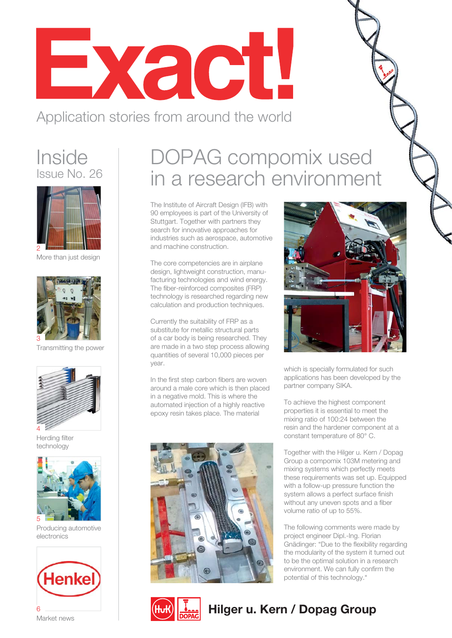

### Application stories from around the world

### **Inside** Issue No. 26



More than just design



Transmitting the power



Herding filter technology



Producing automotive electronics



## DOPAG compomix used in a research environment

The Institute of Aircraft Design (IFB) with 90 employees is part of the University of Stuttgart. Together with partners they search for innovative approaches for industries such as aerospace, automotive and machine construction.

The core competencies are in airplane design, lightweight construction, manufacturing technologies and wind energy. The fiber-reinforced composites (FRP) technology is researched regarding new calculation and production techniques.

Currently the suitability of FRP as a substitute for metallic structural parts of a car body is being researched. They are made in a two step process allowing quantities of several 10,000 pieces per year.

In the first step carbon fibers are woven around a male core which is then placed in a negative mold. This is where the automated injection of a highly reactive epoxy resin takes place. The material





which is specially formulated for such applications has been developed by the partner company SIKA.

To achieve the highest component properties it is essential to meet the mixing ratio of 100:24 between the resin and the hardener component at a constant temperature of 80° C.

Together with the Hilger u. Kern / Dopag Group a compomix 103M metering and mixing systems which perfectly meets these requirements was set up. Equipped with a follow-up pressure function the system allows a perfect surface finish without any uneven spots and a fiber volume ratio of up to 55%.

The following comments were made by project engineer Dipl.-Ing. Florian Gnädinger: "Due to the flexibility regarding the modularity of the system it turned out to be the optimal solution in a research environment. We can fully confirm the potential of this technology."



### **6 Hullet 1988 Contract news** and the **Hilger u. Kern / Dopag Group**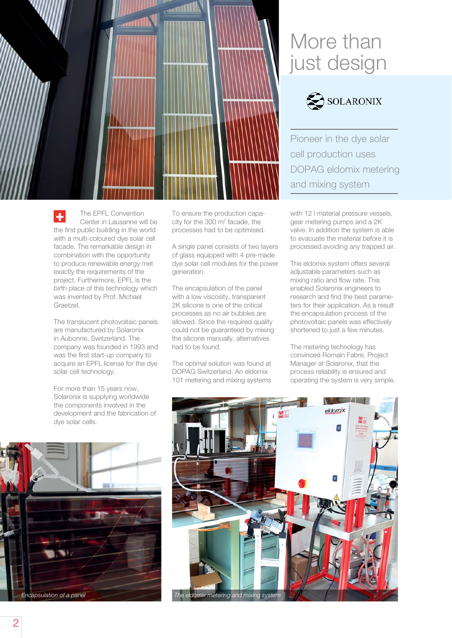

To ensure the production capacity for the  $300 \text{ m}^2$  facade, the processes had to be optimised.

The encapsulation of the panel with a low viscosity, transparent 2K silicone is one of the critical processes as no air bubbles are allowed. Since the required quality could not be guaranteed by mixing the silicone manually, alternatives

The optimal solution was found at DOPAG Switzerland. An eldomix 101 metering and mixing systems

generation.

had to be found.

A single panel consists of two layers of glass equipped with 4 pre-made dye solar cell modules for the power

### More than just design



Pioneer in the dye solar cell production uses DOPAG eldomix metering and mixing system

with 12 l material pressure vessels, gear metering pumps and a 2K valve. In addition the system is able to evacuate the material before it is processed avoiding any trapped air.

The eldomix system offers several adjustable parameters such as mixing ratio and flow rate. This enabled Solaronix engineers to research and find the best parameters for their application. As a result the encapsulation process of the photovoltaic panels was effectively shortened to just a few minutes.

The metering technology has convinced Romain Fabre, Project Manager at Solaronix, that the process reliability is ensured and operating the system is very simple.





÷ Center in Lausanne will be the first public building in the world with a multi-coloured dye solar cell facade. The remarkable design in combination with the opportunity to produce renewable energy met exactly the requirements of the project. Furthermore, EPFL is the birth place of this technology which was invented by Prof. Michael Graetzel.

The EPFL Convention

The translucent photovoltaic panels are manufactured by Solaronix in Aubonne, Switzerland. The company was founded in 1993 and was the first start-up company to acquire an EPFL license for the dye solar cell technology.

For more than 15 years now, Solaronix is supplying worldwide the components involved in the development and the fabrication of dye solar cells.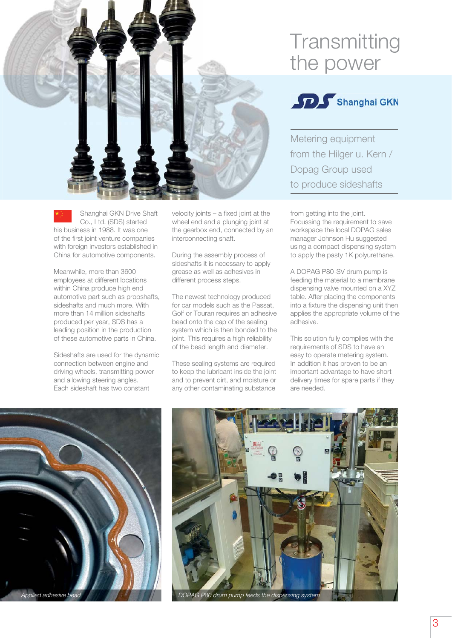

#### Shanghai GKN Drive Shaft Co., Ltd. (SDS) started his business in 1988. It was one of the first joint venture companies with foreign investors established in China for automotive components.

Meanwhile, more than 3600 employees at different locations within China produce high end automotive part such as propshafts, sideshafts and much more. With more than 14 million sideshafts produced per year, SDS has a leading position in the production of these automotive parts in China.

Sideshafts are used for the dynamic connection between engine and driving wheels, transmitting power and allowing steering angles. Each sideshaft has two constant

velocity joints – a fixed joint at the wheel end and a plunging joint at the gearbox end, connected by an interconnecting shaft.

During the assembly process of sideshafts it is necessary to apply grease as well as adhesives in different process steps.

The newest technology produced for car models such as the Passat. Golf or Touran requires an adhesive bead onto the cap of the sealing system which is then bonded to the joint. This requires a high reliability of the bead length and diameter.

These sealing systems are required to keep the lubricant inside the joint and to prevent dirt, and moisture or any other contaminating substance

## **Transmitting** the power



Metering equipment from the Hilger u. Kern / Dopag Group used to produce sideshafts

from getting into the joint. Focussing the requirement to save workspace the local DOPAG sales manager Johnson Hu suggested using a compact dispensing system to apply the pasty 1K polyurethane.

A DOPAG P80-SV drum pump is feeding the material to a membrane dispensing valve mounted on a XYZ table. After placing the components into a fixture the dispensing unit then applies the appropriate volume of the adhesive.

This solution fully complies with the requirements of SDS to have an easy to operate metering system. In addition it has proven to be an important advantage to have short delivery times for spare parts if they are needed.



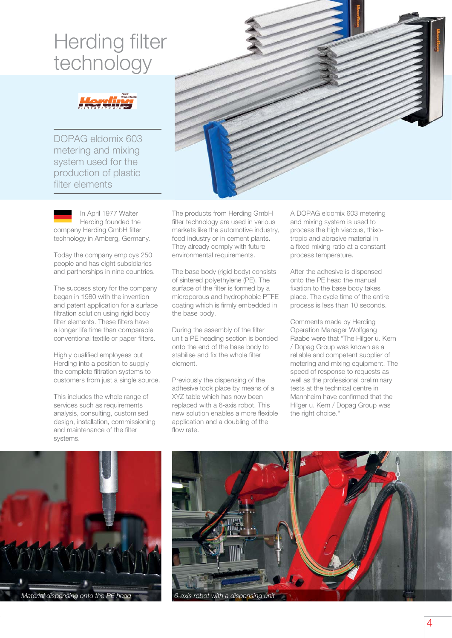## Herding filter technology

DOPAG eldomix 603 metering and mixing system used for the production of plastic filter elements

In April 1977 Walter Herding founded the company Herding GmbH filter technology in Amberg, Germany.

Today the company employs 250 people and has eight subsidiaries and partnerships in nine countries.

The success story for the company began in 1980 with the invention and patent application for a surface filtration solution using rigid body filter elements. These filters have a longer life time than comparable conventional textile or paper filters.

Highly qualified employees put Herding into a position to supply the complete filtration systems to customers from just a single source.

This includes the whole range of services such as requirements analysis, consulting, customised design, installation, commissioning and maintenance of the filter systems.

The products from Herding GmbH filter technology are used in various markets like the automotive industry, food industry or in cement plants. They already comply with future environmental requirements.

The base body (rigid body) consists of sintered polyethylene (PE). The surface of the filter is formed by a microporous and hydrophobic PTFE coating which is firmly embedded in the base body.

During the assembly of the filter unit a PE heading section is bonded onto the end of the base body to stabilise and fix the whole filter element.

Previously the dispensing of the adhesive took place by means of a XYZ table which has now been replaced with a 6-axis robot. This new solution enables a more flexible application and a doubling of the flow rate.

A DOPAG eldomix 603 metering and mixing system is used to process the high viscous, thixotropic and abrasive material in a fixed mixing ratio at a constant process temperature.

After the adhesive is dispensed onto the PE head the manual fixation to the base body takes place. The cycle time of the entire process is less than 10 seconds.

Comments made by Herding Operation Manager Wolfgang Raabe were that "The Hilger u. Kern / Dopag Group was known as a reliable and competent supplier of metering and mixing equipment. The speed of response to requests as well as the professional preliminary tests at the technical centre in Mannheim have confirmed that the Hilger u. Kern / Dopag Group was the right choice."



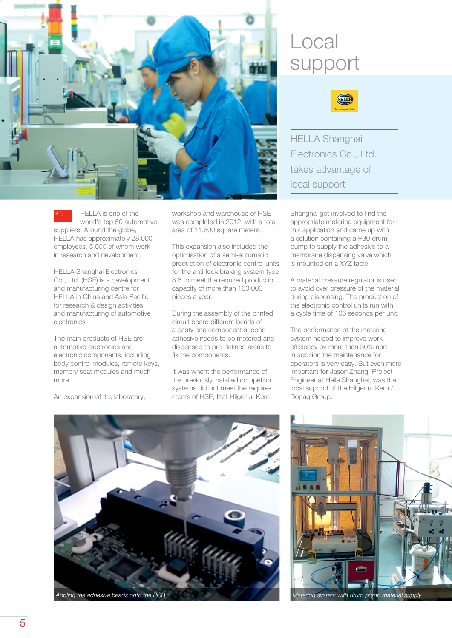

HELLA is one of the world's top 50 automotive suppliers. Around the globe, HELLA has approximately 28,000 employees, 5,000 of whom work in research and development.

HELLA Shanghai Electronics Co., Ltd. (HSE) is a development and manufacturing centre for HELLA in China and Asia Pacific for research & design activities and manufacturing of automotive electronics.

The main products of HSE are automotive electronics and electronic components, including body control modules, remote keys, memory seat modules and much more.

An expansion of the laboratory,

workshop and warehouse of HSE was completed in 2012, with a total area of 11,600 square meters.

This expansion also included the optimisation of a semi-automatic production of electronic control units for the anti-lock braking system type 8.6 to meet the required production capacity of more than 160,000 pieces a year.

During the assembly of the printed circuit board different beads of a pasty one component silicone adhesive needs to be metered and dispensed to pre-defined areas to fix the components.

It was whent the performance of the previously installed competitor systems did not meet the requirements of HSE, that Hilger u. Kern

### Local support



HELLA Shanghai Electronics Co., Ltd. takes advantage of local support

Shanghai got involved to find the appropriate metering equipment for this application and came up with a solution containing a P30 drum pump to supply the adhesive to a membrane dispensing valve which is mounted on a XYZ table.

A material pressure regulator is used to avoid over pressure of the material during dispensing. The production of the electronic control units run with a cycle time of 106 seconds per unit.

The performance of the metering system helped to improve work efficiency by more than 30% and in addition the maintenance for operators is very easy. But even more important for Jason Zhang, Project Engineer at Hella Shanghai, was the local support of the Hilger u. Kern / Dopag Group.